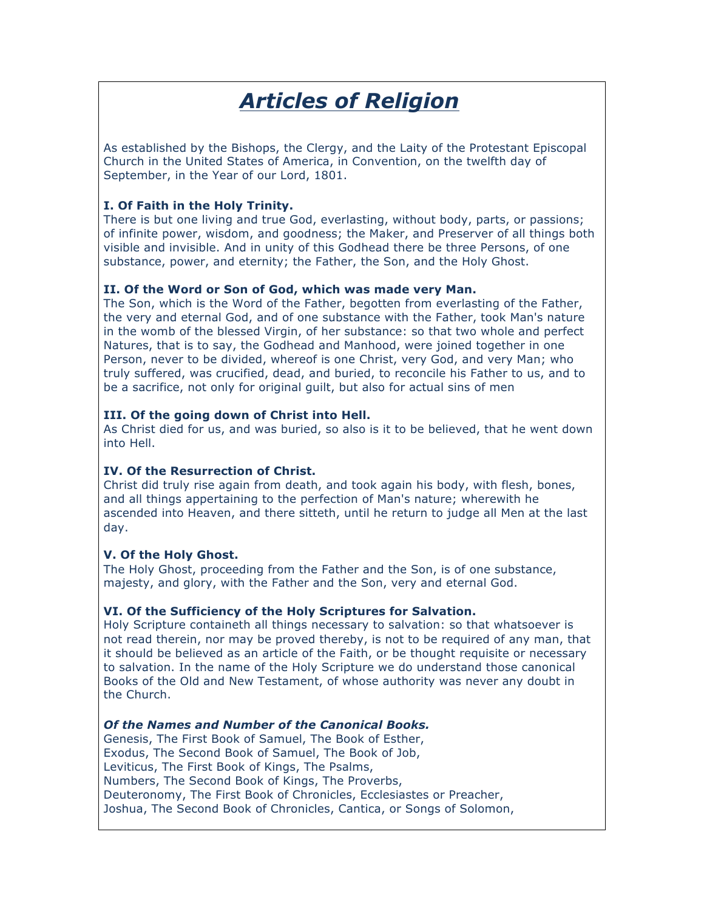# *Articles of Religion*

As established by the Bishops, the Clergy, and the Laity of the Protestant Episcopal Church in the United States of America, in Convention, on the twelfth day of September, in the Year of our Lord, 1801.

# **I. Of Faith in the Holy Trinity.**

There is but one living and true God, everlasting, without body, parts, or passions; of infinite power, wisdom, and goodness; the Maker, and Preserver of all things both visible and invisible. And in unity of this Godhead there be three Persons, of one substance, power, and eternity; the Father, the Son, and the Holy Ghost.

## **II. Of the Word or Son of God, which was made very Man.**

The Son, which is the Word of the Father, begotten from everlasting of the Father, the very and eternal God, and of one substance with the Father, took Man's nature in the womb of the blessed Virgin, of her substance: so that two whole and perfect Natures, that is to say, the Godhead and Manhood, were joined together in one Person, never to be divided, whereof is one Christ, very God, and very Man; who truly suffered, was crucified, dead, and buried, to reconcile his Father to us, and to be a sacrifice, not only for original guilt, but also for actual sins of men

## **III. Of the going down of Christ into Hell.**

As Christ died for us, and was buried, so also is it to be believed, that he went down into Hell.

## **IV. Of the Resurrection of Christ.**

Christ did truly rise again from death, and took again his body, with flesh, bones, and all things appertaining to the perfection of Man's nature; wherewith he ascended into Heaven, and there sitteth, until he return to judge all Men at the last day.

## **V. Of the Holy Ghost.**

The Holy Ghost, proceeding from the Father and the Son, is of one substance, majesty, and glory, with the Father and the Son, very and eternal God.

## **VI. Of the Sufficiency of the Holy Scriptures for Salvation.**

Holy Scripture containeth all things necessary to salvation: so that whatsoever is not read therein, nor may be proved thereby, is not to be required of any man, that it should be believed as an article of the Faith, or be thought requisite or necessary to salvation. In the name of the Holy Scripture we do understand those canonical Books of the Old and New Testament, of whose authority was never any doubt in the Church.

## *Of the Names and Number of the Canonical Books.*

Genesis, The First Book of Samuel, The Book of Esther, Exodus, The Second Book of Samuel, The Book of Job, Leviticus, The First Book of Kings, The Psalms, Numbers, The Second Book of Kings, The Proverbs, Deuteronomy, The First Book of Chronicles, Ecclesiastes or Preacher, Joshua, The Second Book of Chronicles, Cantica, or Songs of Solomon,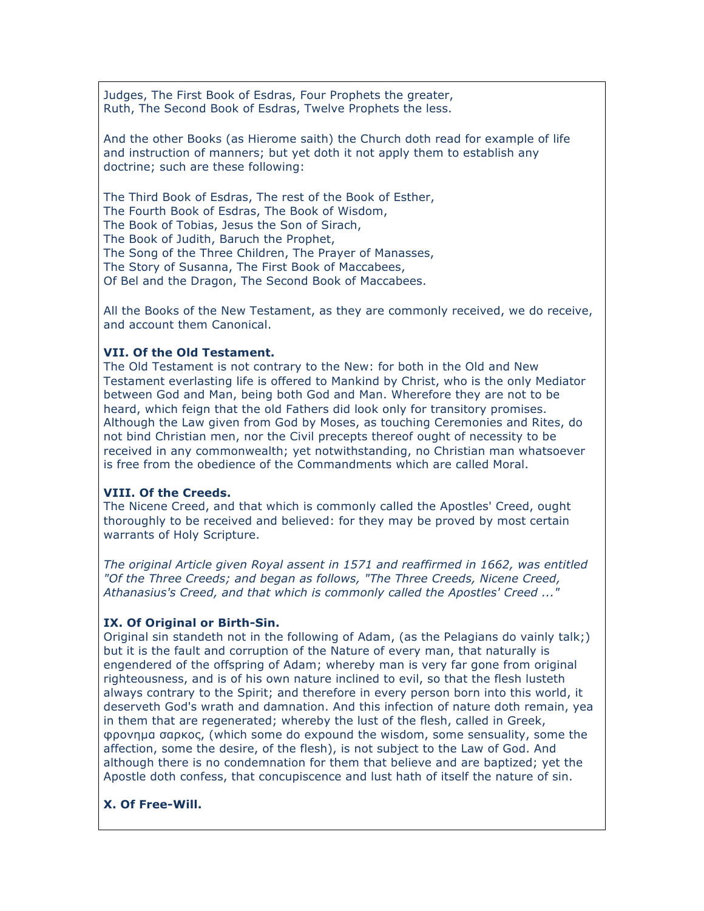Judges, The First Book of Esdras, Four Prophets the greater, Ruth, The Second Book of Esdras, Twelve Prophets the less.

And the other Books (as Hierome saith) the Church doth read for example of life and instruction of manners; but yet doth it not apply them to establish any doctrine; such are these following:

The Third Book of Esdras, The rest of the Book of Esther, The Fourth Book of Esdras, The Book of Wisdom, The Book of Tobias, Jesus the Son of Sirach, The Book of Judith, Baruch the Prophet, The Song of the Three Children, The Prayer of Manasses, The Story of Susanna, The First Book of Maccabees, Of Bel and the Dragon, The Second Book of Maccabees.

All the Books of the New Testament, as they are commonly received, we do receive, and account them Canonical.

#### **VII. Of the Old Testament.**

The Old Testament is not contrary to the New: for both in the Old and New Testament everlasting life is offered to Mankind by Christ, who is the only Mediator between God and Man, being both God and Man. Wherefore they are not to be heard, which feign that the old Fathers did look only for transitory promises. Although the Law given from God by Moses, as touching Ceremonies and Rites, do not bind Christian men, nor the Civil precepts thereof ought of necessity to be received in any commonwealth; yet notwithstanding, no Christian man whatsoever is free from the obedience of the Commandments which are called Moral.

#### **VIII. Of the Creeds.**

The Nicene Creed, and that which is commonly called the Apostles' Creed, ought thoroughly to be received and believed: for they may be proved by most certain warrants of Holy Scripture.

*The original Article given Royal assent in 1571 and reaffirmed in 1662, was entitled "Of the Three Creeds; and began as follows, "The Three Creeds, Nicene Creed, Athanasius's Creed, and that which is commonly called the Apostles' Creed ..."*

## **IX. Of Original or Birth-Sin.**

Original sin standeth not in the following of Adam, (as the Pelagians do vainly talk;) but it is the fault and corruption of the Nature of every man, that naturally is engendered of the offspring of Adam; whereby man is very far gone from original righteousness, and is of his own nature inclined to evil, so that the flesh lusteth always contrary to the Spirit; and therefore in every person born into this world, it deserveth God's wrath and damnation. And this infection of nature doth remain, yea in them that are regenerated; whereby the lust of the flesh, called in Greek, φρονηµα σαρκος, (which some do expound the wisdom, some sensuality, some the affection, some the desire, of the flesh), is not subject to the Law of God. And although there is no condemnation for them that believe and are baptized; yet the Apostle doth confess, that concupiscence and lust hath of itself the nature of sin.

## **X. Of Free-Will.**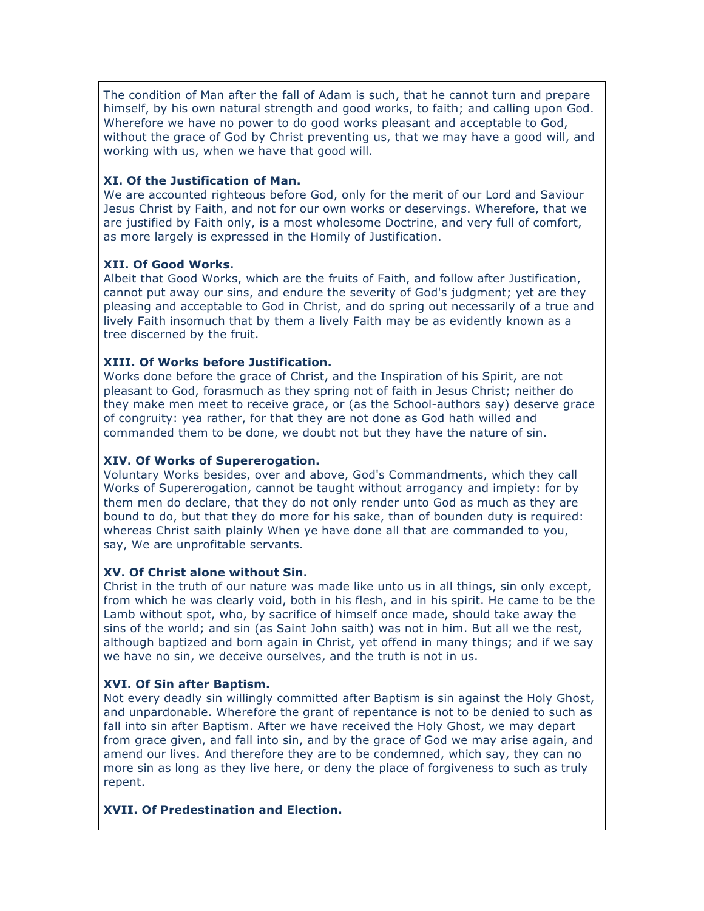The condition of Man after the fall of Adam is such, that he cannot turn and prepare himself, by his own natural strength and good works, to faith; and calling upon God. Wherefore we have no power to do good works pleasant and acceptable to God, without the grace of God by Christ preventing us, that we may have a good will, and working with us, when we have that good will.

# **XI. Of the Justification of Man.**

We are accounted righteous before God, only for the merit of our Lord and Saviour Jesus Christ by Faith, and not for our own works or deservings. Wherefore, that we are justified by Faith only, is a most wholesome Doctrine, and very full of comfort, as more largely is expressed in the Homily of Justification.

# **XII. Of Good Works.**

Albeit that Good Works, which are the fruits of Faith, and follow after Justification, cannot put away our sins, and endure the severity of God's judgment; yet are they pleasing and acceptable to God in Christ, and do spring out necessarily of a true and lively Faith insomuch that by them a lively Faith may be as evidently known as a tree discerned by the fruit.

## **XIII. Of Works before Justification.**

Works done before the grace of Christ, and the Inspiration of his Spirit, are not pleasant to God, forasmuch as they spring not of faith in Jesus Christ; neither do they make men meet to receive grace, or (as the School-authors say) deserve grace of congruity: yea rather, for that they are not done as God hath willed and commanded them to be done, we doubt not but they have the nature of sin.

# **XIV. Of Works of Supererogation.**

Voluntary Works besides, over and above, God's Commandments, which they call Works of Supererogation, cannot be taught without arrogancy and impiety: for by them men do declare, that they do not only render unto God as much as they are bound to do, but that they do more for his sake, than of bounden duty is required: whereas Christ saith plainly When ye have done all that are commanded to you, say, We are unprofitable servants.

# **XV. Of Christ alone without Sin.**

Christ in the truth of our nature was made like unto us in all things, sin only except, from which he was clearly void, both in his flesh, and in his spirit. He came to be the Lamb without spot, who, by sacrifice of himself once made, should take away the sins of the world; and sin (as Saint John saith) was not in him. But all we the rest, although baptized and born again in Christ, yet offend in many things; and if we say we have no sin, we deceive ourselves, and the truth is not in us.

## **XVI. Of Sin after Baptism.**

Not every deadly sin willingly committed after Baptism is sin against the Holy Ghost, and unpardonable. Wherefore the grant of repentance is not to be denied to such as fall into sin after Baptism. After we have received the Holy Ghost, we may depart from grace given, and fall into sin, and by the grace of God we may arise again, and amend our lives. And therefore they are to be condemned, which say, they can no more sin as long as they live here, or deny the place of forgiveness to such as truly repent.

# **XVII. Of Predestination and Election.**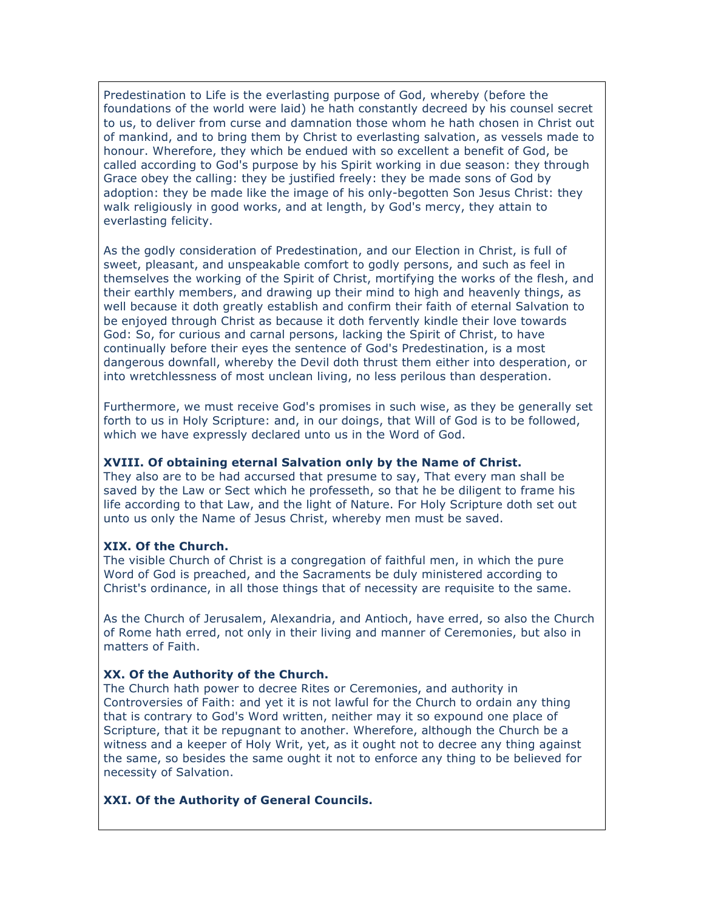Predestination to Life is the everlasting purpose of God, whereby (before the foundations of the world were laid) he hath constantly decreed by his counsel secret to us, to deliver from curse and damnation those whom he hath chosen in Christ out of mankind, and to bring them by Christ to everlasting salvation, as vessels made to honour. Wherefore, they which be endued with so excellent a benefit of God, be called according to God's purpose by his Spirit working in due season: they through Grace obey the calling: they be justified freely: they be made sons of God by adoption: they be made like the image of his only-begotten Son Jesus Christ: they walk religiously in good works, and at length, by God's mercy, they attain to everlasting felicity.

As the godly consideration of Predestination, and our Election in Christ, is full of sweet, pleasant, and unspeakable comfort to godly persons, and such as feel in themselves the working of the Spirit of Christ, mortifying the works of the flesh, and their earthly members, and drawing up their mind to high and heavenly things, as well because it doth greatly establish and confirm their faith of eternal Salvation to be enjoyed through Christ as because it doth fervently kindle their love towards God: So, for curious and carnal persons, lacking the Spirit of Christ, to have continually before their eyes the sentence of God's Predestination, is a most dangerous downfall, whereby the Devil doth thrust them either into desperation, or into wretchlessness of most unclean living, no less perilous than desperation.

Furthermore, we must receive God's promises in such wise, as they be generally set forth to us in Holy Scripture: and, in our doings, that Will of God is to be followed, which we have expressly declared unto us in the Word of God.

#### **XVIII. Of obtaining eternal Salvation only by the Name of Christ.**

They also are to be had accursed that presume to say, That every man shall be saved by the Law or Sect which he professeth, so that he be diligent to frame his life according to that Law, and the light of Nature. For Holy Scripture doth set out unto us only the Name of Jesus Christ, whereby men must be saved.

#### **XIX. Of the Church.**

The visible Church of Christ is a congregation of faithful men, in which the pure Word of God is preached, and the Sacraments be duly ministered according to Christ's ordinance, in all those things that of necessity are requisite to the same.

As the Church of Jerusalem, Alexandria, and Antioch, have erred, so also the Church of Rome hath erred, not only in their living and manner of Ceremonies, but also in matters of Faith.

#### **XX. Of the Authority of the Church.**

The Church hath power to decree Rites or Ceremonies, and authority in Controversies of Faith: and yet it is not lawful for the Church to ordain any thing that is contrary to God's Word written, neither may it so expound one place of Scripture, that it be repugnant to another. Wherefore, although the Church be a witness and a keeper of Holy Writ, yet, as it ought not to decree any thing against the same, so besides the same ought it not to enforce any thing to be believed for necessity of Salvation.

#### **XXI. Of the Authority of General Councils.**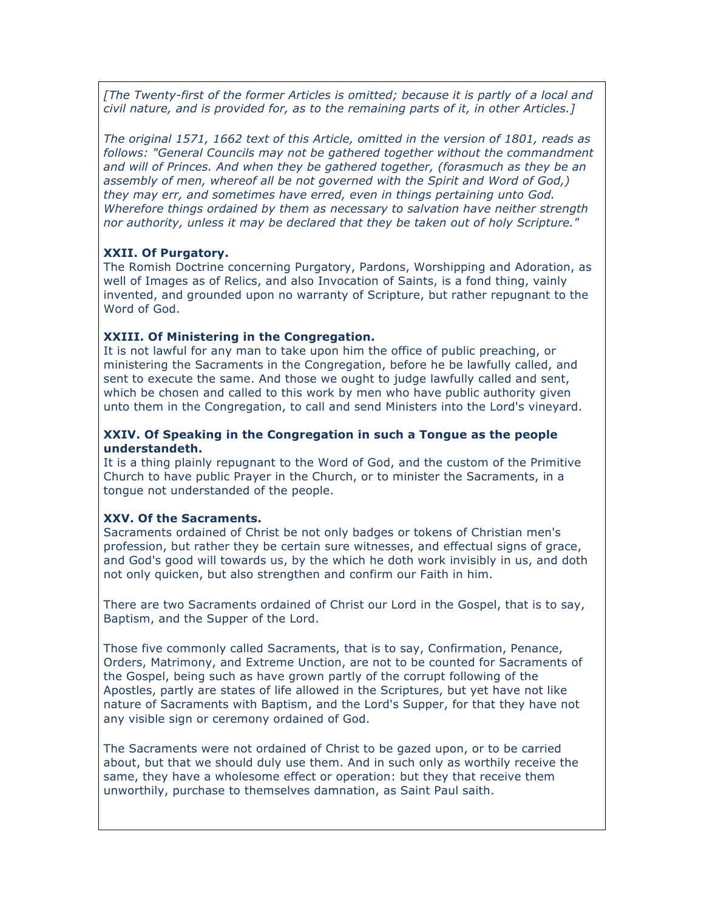*[The Twenty-first of the former Articles is omitted; because it is partly of a local and civil nature, and is provided for, as to the remaining parts of it, in other Articles.]*

*The original 1571, 1662 text of this Article, omitted in the version of 1801, reads as follows: "General Councils may not be gathered together without the commandment and will of Princes. And when they be gathered together, (forasmuch as they be an assembly of men, whereof all be not governed with the Spirit and Word of God,) they may err, and sometimes have erred, even in things pertaining unto God. Wherefore things ordained by them as necessary to salvation have neither strength nor authority, unless it may be declared that they be taken out of holy Scripture."*

## **XXII. Of Purgatory.**

The Romish Doctrine concerning Purgatory, Pardons, Worshipping and Adoration, as well of Images as of Relics, and also Invocation of Saints, is a fond thing, vainly invented, and grounded upon no warranty of Scripture, but rather repugnant to the Word of God.

#### **XXIII. Of Ministering in the Congregation.**

It is not lawful for any man to take upon him the office of public preaching, or ministering the Sacraments in the Congregation, before he be lawfully called, and sent to execute the same. And those we ought to judge lawfully called and sent, which be chosen and called to this work by men who have public authority given unto them in the Congregation, to call and send Ministers into the Lord's vineyard.

## **XXIV. Of Speaking in the Congregation in such a Tongue as the people understandeth.**

It is a thing plainly repugnant to the Word of God, and the custom of the Primitive Church to have public Prayer in the Church, or to minister the Sacraments, in a tongue not understanded of the people.

#### **XXV. Of the Sacraments.**

Sacraments ordained of Christ be not only badges or tokens of Christian men's profession, but rather they be certain sure witnesses, and effectual signs of grace, and God's good will towards us, by the which he doth work invisibly in us, and doth not only quicken, but also strengthen and confirm our Faith in him.

There are two Sacraments ordained of Christ our Lord in the Gospel, that is to say, Baptism, and the Supper of the Lord.

Those five commonly called Sacraments, that is to say, Confirmation, Penance, Orders, Matrimony, and Extreme Unction, are not to be counted for Sacraments of the Gospel, being such as have grown partly of the corrupt following of the Apostles, partly are states of life allowed in the Scriptures, but yet have not like nature of Sacraments with Baptism, and the Lord's Supper, for that they have not any visible sign or ceremony ordained of God.

The Sacraments were not ordained of Christ to be gazed upon, or to be carried about, but that we should duly use them. And in such only as worthily receive the same, they have a wholesome effect or operation: but they that receive them unworthily, purchase to themselves damnation, as Saint Paul saith.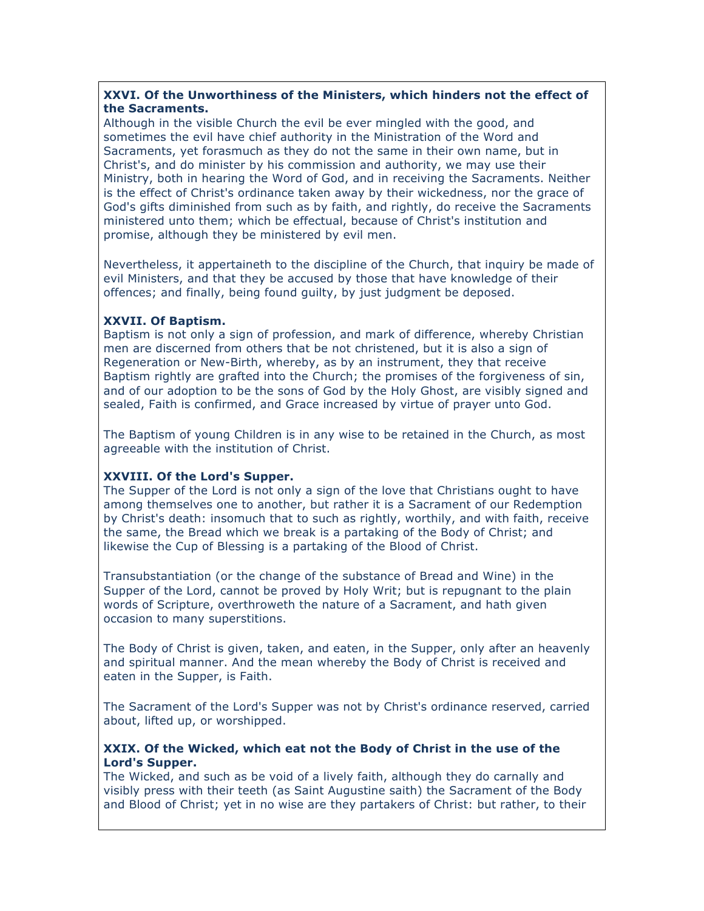## **XXVI. Of the Unworthiness of the Ministers, which hinders not the effect of the Sacraments.**

Although in the visible Church the evil be ever mingled with the good, and sometimes the evil have chief authority in the Ministration of the Word and Sacraments, yet forasmuch as they do not the same in their own name, but in Christ's, and do minister by his commission and authority, we may use their Ministry, both in hearing the Word of God, and in receiving the Sacraments. Neither is the effect of Christ's ordinance taken away by their wickedness, nor the grace of God's gifts diminished from such as by faith, and rightly, do receive the Sacraments ministered unto them; which be effectual, because of Christ's institution and promise, although they be ministered by evil men.

Nevertheless, it appertaineth to the discipline of the Church, that inquiry be made of evil Ministers, and that they be accused by those that have knowledge of their offences; and finally, being found guilty, by just judgment be deposed.

## **XXVII. Of Baptism.**

Baptism is not only a sign of profession, and mark of difference, whereby Christian men are discerned from others that be not christened, but it is also a sign of Regeneration or New-Birth, whereby, as by an instrument, they that receive Baptism rightly are grafted into the Church; the promises of the forgiveness of sin, and of our adoption to be the sons of God by the Holy Ghost, are visibly signed and sealed, Faith is confirmed, and Grace increased by virtue of prayer unto God.

The Baptism of young Children is in any wise to be retained in the Church, as most agreeable with the institution of Christ.

#### **XXVIII. Of the Lord's Supper.**

The Supper of the Lord is not only a sign of the love that Christians ought to have among themselves one to another, but rather it is a Sacrament of our Redemption by Christ's death: insomuch that to such as rightly, worthily, and with faith, receive the same, the Bread which we break is a partaking of the Body of Christ; and likewise the Cup of Blessing is a partaking of the Blood of Christ.

Transubstantiation (or the change of the substance of Bread and Wine) in the Supper of the Lord, cannot be proved by Holy Writ; but is repugnant to the plain words of Scripture, overthroweth the nature of a Sacrament, and hath given occasion to many superstitions.

The Body of Christ is given, taken, and eaten, in the Supper, only after an heavenly and spiritual manner. And the mean whereby the Body of Christ is received and eaten in the Supper, is Faith.

The Sacrament of the Lord's Supper was not by Christ's ordinance reserved, carried about, lifted up, or worshipped.

## **XXIX. Of the Wicked, which eat not the Body of Christ in the use of the Lord's Supper.**

The Wicked, and such as be void of a lively faith, although they do carnally and visibly press with their teeth (as Saint Augustine saith) the Sacrament of the Body and Blood of Christ; yet in no wise are they partakers of Christ: but rather, to their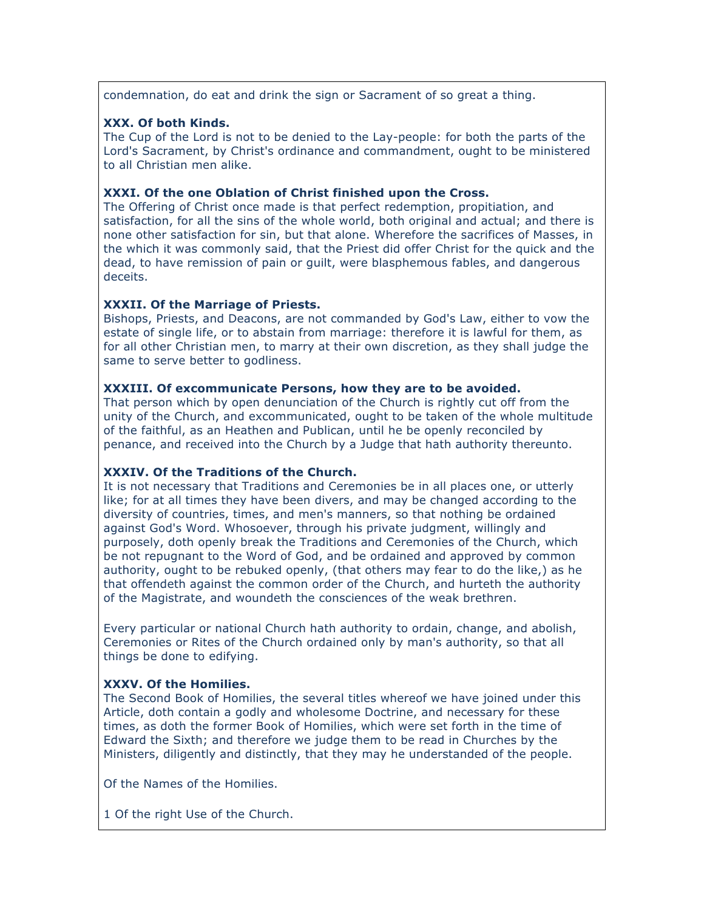condemnation, do eat and drink the sign or Sacrament of so great a thing.

## **XXX. Of both Kinds.**

The Cup of the Lord is not to be denied to the Lay-people: for both the parts of the Lord's Sacrament, by Christ's ordinance and commandment, ought to be ministered to all Christian men alike.

## **XXXI. Of the one Oblation of Christ finished upon the Cross.**

The Offering of Christ once made is that perfect redemption, propitiation, and satisfaction, for all the sins of the whole world, both original and actual; and there is none other satisfaction for sin, but that alone. Wherefore the sacrifices of Masses, in the which it was commonly said, that the Priest did offer Christ for the quick and the dead, to have remission of pain or guilt, were blasphemous fables, and dangerous deceits.

## **XXXII. Of the Marriage of Priests.**

Bishops, Priests, and Deacons, are not commanded by God's Law, either to vow the estate of single life, or to abstain from marriage: therefore it is lawful for them, as for all other Christian men, to marry at their own discretion, as they shall judge the same to serve better to godliness.

## **XXXIII. Of excommunicate Persons, how they are to be avoided.**

That person which by open denunciation of the Church is rightly cut off from the unity of the Church, and excommunicated, ought to be taken of the whole multitude of the faithful, as an Heathen and Publican, until he be openly reconciled by penance, and received into the Church by a Judge that hath authority thereunto.

## **XXXIV. Of the Traditions of the Church.**

It is not necessary that Traditions and Ceremonies be in all places one, or utterly like; for at all times they have been divers, and may be changed according to the diversity of countries, times, and men's manners, so that nothing be ordained against God's Word. Whosoever, through his private judgment, willingly and purposely, doth openly break the Traditions and Ceremonies of the Church, which be not repugnant to the Word of God, and be ordained and approved by common authority, ought to be rebuked openly, (that others may fear to do the like,) as he that offendeth against the common order of the Church, and hurteth the authority of the Magistrate, and woundeth the consciences of the weak brethren.

Every particular or national Church hath authority to ordain, change, and abolish, Ceremonies or Rites of the Church ordained only by man's authority, so that all things be done to edifying.

## **XXXV. Of the Homilies.**

The Second Book of Homilies, the several titles whereof we have joined under this Article, doth contain a godly and wholesome Doctrine, and necessary for these times, as doth the former Book of Homilies, which were set forth in the time of Edward the Sixth; and therefore we judge them to be read in Churches by the Ministers, diligently and distinctly, that they may he understanded of the people.

Of the Names of the Homilies.

1 Of the right Use of the Church.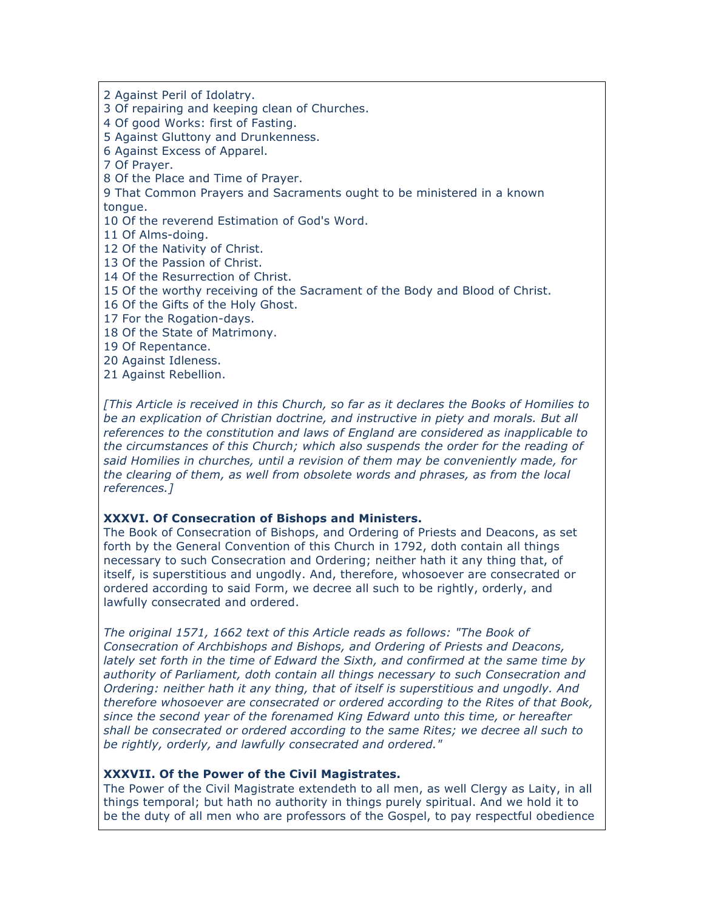2 Against Peril of Idolatry.

3 Of repairing and keeping clean of Churches.

- 4 Of good Works: first of Fasting.
- 5 Against Gluttony and Drunkenness.
- 6 Against Excess of Apparel.

7 Of Prayer.

8 Of the Place and Time of Prayer.

9 That Common Prayers and Sacraments ought to be ministered in a known tongue.

10 Of the reverend Estimation of God's Word.

- 11 Of Alms-doing.
- 12 Of the Nativity of Christ.
- 13 Of the Passion of Christ.

14 Of the Resurrection of Christ.

- 15 Of the worthy receiving of the Sacrament of the Body and Blood of Christ.
- 16 Of the Gifts of the Holy Ghost.
- 17 For the Rogation-days.
- 18 Of the State of Matrimony.
- 19 Of Repentance.
- 20 Against Idleness.
- 21 Against Rebellion.

*[This Article is received in this Church, so far as it declares the Books of Homilies to be an explication of Christian doctrine, and instructive in piety and morals. But all references to the constitution and laws of England are considered as inapplicable to the circumstances of this Church; which also suspends the order for the reading of said Homilies in churches, until a revision of them may be conveniently made, for the clearing of them, as well from obsolete words and phrases, as from the local references.]*

#### **XXXVI. Of Consecration of Bishops and Ministers.**

The Book of Consecration of Bishops, and Ordering of Priests and Deacons, as set forth by the General Convention of this Church in 1792, doth contain all things necessary to such Consecration and Ordering; neither hath it any thing that, of itself, is superstitious and ungodly. And, therefore, whosoever are consecrated or ordered according to said Form, we decree all such to be rightly, orderly, and lawfully consecrated and ordered.

*The original 1571, 1662 text of this Article reads as follows: "The Book of Consecration of Archbishops and Bishops, and Ordering of Priests and Deacons, lately set forth in the time of Edward the Sixth, and confirmed at the same time by authority of Parliament, doth contain all things necessary to such Consecration and Ordering: neither hath it any thing, that of itself is superstitious and ungodly. And therefore whosoever are consecrated or ordered according to the Rites of that Book, since the second year of the forenamed King Edward unto this time, or hereafter shall be consecrated or ordered according to the same Rites; we decree all such to be rightly, orderly, and lawfully consecrated and ordered."*

## **XXXVII. Of the Power of the Civil Magistrates.**

The Power of the Civil Magistrate extendeth to all men, as well Clergy as Laity, in all things temporal; but hath no authority in things purely spiritual. And we hold it to be the duty of all men who are professors of the Gospel, to pay respectful obedience